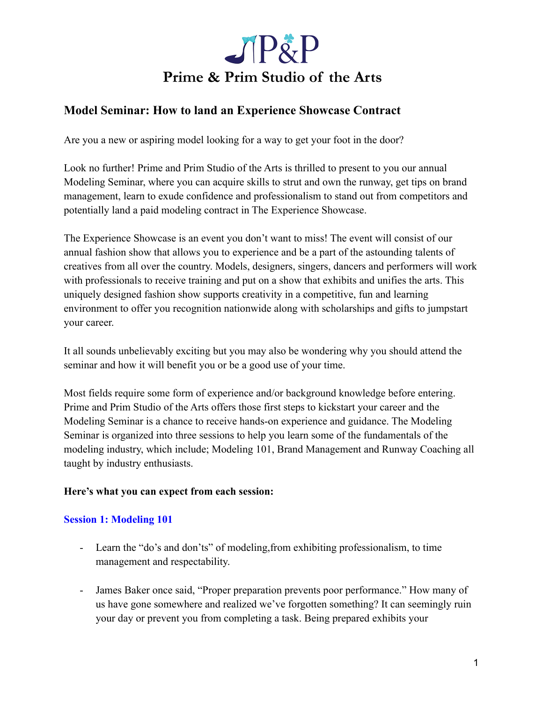

## **Model Seminar: How to land an Experience Showcase Contract**

Are you a new or aspiring model looking for a way to get your foot in the door?

Look no further! Prime and Prim Studio of the Arts is thrilled to present to you our annual Modeling Seminar, where you can acquire skills to strut and own the runway, get tips on brand management, learn to exude confidence and professionalism to stand out from competitors and potentially land a paid modeling contract in The Experience Showcase.

The Experience Showcase is an event you don't want to miss! The event will consist of our annual fashion show that allows you to experience and be a part of the astounding talents of creatives from all over the country. Models, designers, singers, dancers and performers will work with professionals to receive training and put on a show that exhibits and unifies the arts. This uniquely designed fashion show supports creativity in a competitive, fun and learning environment to offer you recognition nationwide along with scholarships and gifts to jumpstart your career.

It all sounds unbelievably exciting but you may also be wondering why you should attend the seminar and how it will benefit you or be a good use of your time.

Most fields require some form of experience and/or background knowledge before entering. Prime and Prim Studio of the Arts offers those first steps to kickstart your career and the Modeling Seminar is a chance to receive hands-on experience and guidance. The Modeling Seminar is organized into three sessions to help you learn some of the fundamentals of the modeling industry, which include; Modeling 101, Brand Management and Runway Coaching all taught by industry enthusiasts.

### **Here's what you can expect from each session:**

### **Session 1: Modeling 101**

- Learn the "do's and don'ts" of modeling,from exhibiting professionalism, to time management and respectability.
- James Baker once said, "Proper preparation prevents poor performance." How many of us have gone somewhere and realized we've forgotten something? It can seemingly ruin your day or prevent you from completing a task. Being prepared exhibits your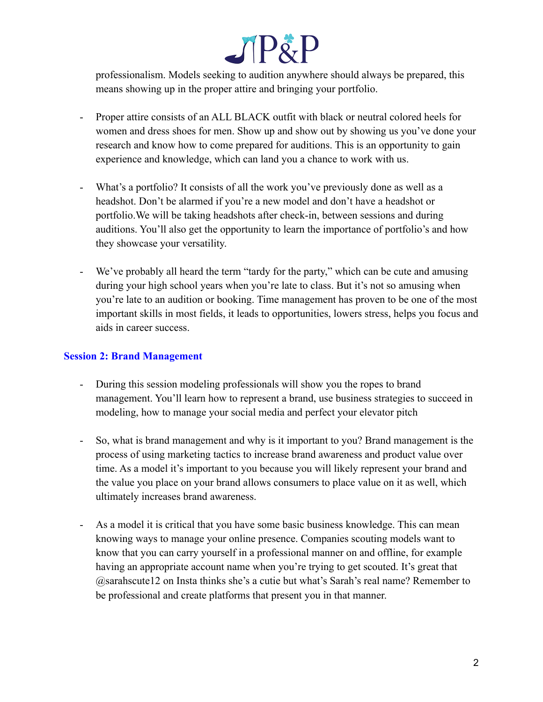# $\Box$ [ $\angle$ ]

professionalism. Models seeking to audition anywhere should always be prepared, this means showing up in the proper attire and bringing your portfolio.

- Proper attire consists of an ALL BLACK outfit with black or neutral colored heels for women and dress shoes for men. Show up and show out by showing us you've done your research and know how to come prepared for auditions. This is an opportunity to gain experience and knowledge, which can land you a chance to work with us.
- What's a portfolio? It consists of all the work you've previously done as well as a headshot. Don't be alarmed if you're a new model and don't have a headshot or portfolio.We will be taking headshots after check-in, between sessions and during auditions. You'll also get the opportunity to learn the importance of portfolio's and how they showcase your versatility.
- We've probably all heard the term "tardy for the party," which can be cute and amusing during your high school years when you're late to class. But it's not so amusing when you're late to an audition or booking. Time management has proven to be one of the most important skills in most fields, it leads to opportunities, lowers stress, helps you focus and aids in career success.

### **Session 2: Brand Management**

- During this session modeling professionals will show you the ropes to brand management. You'll learn how to represent a brand, use business strategies to succeed in modeling, how to manage your social media and perfect your elevator pitch
- So, what is brand management and why is it important to you? Brand management is the process of using marketing tactics to increase brand awareness and product value over time. As a model it's important to you because you will likely represent your brand and the value you place on your brand allows consumers to place value on it as well, which ultimately increases brand awareness.
- As a model it is critical that you have some basic business knowledge. This can mean knowing ways to manage your online presence. Companies scouting models want to know that you can carry yourself in a professional manner on and offline, for example having an appropriate account name when you're trying to get scouted. It's great that @sarahscute12 on Insta thinks she's a cutie but what's Sarah's real name? Remember to be professional and create platforms that present you in that manner.